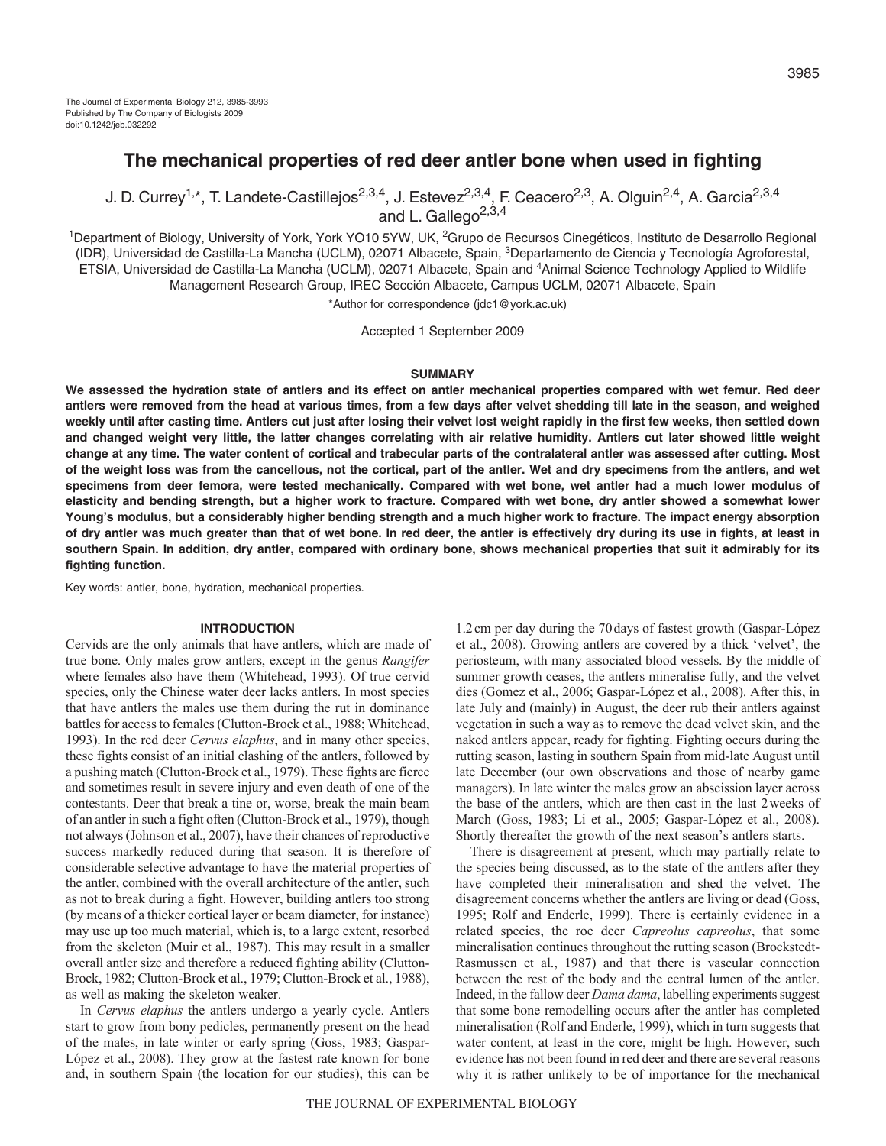# **The mechanical properties of red deer antler bone when used in fighting**

J. D. Currey<sup>1,\*</sup>, T. Landete-Castillejos<sup>2,3,4</sup>, J. Estevez<sup>2,3,4</sup>, F. Ceacero<sup>2,3</sup>, A. Olguin<sup>2,4</sup>, A. Garcia<sup>2,3,4</sup> and L. Gallego<sup>2,3,4</sup>

<sup>1</sup>Department of Biology, University of York, York YO10 5YW, UK, <sup>2</sup>Grupo de Recursos Cinegéticos, Instituto de Desarrollo Regional (IDR), Universidad de Castilla-La Mancha (UCLM), 02071 Albacete, Spain, 3Departamento de Ciencia y Tecnología Agroforestal, ETSIA, Universidad de Castilla-La Mancha (UCLM), 02071 Albacete, Spain and 4Animal Science Technology Applied to Wildlife Management Research Group, IREC Sección Albacete, Campus UCLM, 02071 Albacete, Spain

\*Author for correspondence (jdc1@york.ac.uk)

Accepted 1 September 2009

#### **SUMMARY**

**We assessed the hydration state of antlers and its effect on antler mechanical properties compared with wet femur. Red deer antlers were removed from the head at various times, from a few days after velvet shedding till late in the season, and weighed weekly until after casting time. Antlers cut just after losing their velvet lost weight rapidly in the first few weeks, then settled down and changed weight very little, the latter changes correlating with air relative humidity. Antlers cut later showed little weight change at any time. The water content of cortical and trabecular parts of the contralateral antler was assessed after cutting. Most of the weight loss was from the cancellous, not the cortical, part of the antler. Wet and dry specimens from the antlers, and wet specimens from deer femora, were tested mechanically. Compared with wet bone, wet antler had a much lower modulus of elasticity and bending strength, but a higher work to fracture. Compared with wet bone, dry antler showed a somewhat lower Young's modulus, but a considerably higher bending strength and a much higher work to fracture. The impact energy absorption of dry antler was much greater than that of wet bone. In red deer, the antler is effectively dry during its use in fights, at least in southern Spain. In addition, dry antler, compared with ordinary bone, shows mechanical properties that suit it admirably for its fighting function.**

Key words: antler, bone, hydration, mechanical properties.

## **INTRODUCTION**

Cervids are the only animals that have antlers, which are made of true bone. Only males grow antlers, except in the genus *Rangifer* where females also have them (Whitehead, 1993). Of true cervid species, only the Chinese water deer lacks antlers. In most species that have antlers the males use them during the rut in dominance battles for access to females (Clutton-Brock et al., 1988; Whitehead, 1993). In the red deer *Cervus elaphus*, and in many other species, these fights consist of an initial clashing of the antlers, followed by a pushing match (Clutton-Brock et al., 1979). These fights are fierce and sometimes result in severe injury and even death of one of the contestants. Deer that break a tine or, worse, break the main beam of an antler in such a fight often (Clutton-Brock et al., 1979), though not always (Johnson et al., 2007), have their chances of reproductive success markedly reduced during that season. It is therefore of considerable selective advantage to have the material properties of the antler, combined with the overall architecture of the antler, such as not to break during a fight. However, building antlers too strong (by means of a thicker cortical layer or beam diameter, for instance) may use up too much material, which is, to a large extent, resorbed from the skeleton (Muir et al., 1987). This may result in a smaller overall antler size and therefore a reduced fighting ability (Clutton-Brock, 1982; Clutton-Brock et al., 1979; Clutton-Brock et al., 1988), as well as making the skeleton weaker.

In *Cervus elaphus* the antlers undergo a yearly cycle. Antlers start to grow from bony pedicles, permanently present on the head of the males, in late winter or early spring (Goss, 1983; Gaspar-López et al., 2008). They grow at the fastest rate known for bone and, in southern Spain (the location for our studies), this can be

1.2cm per day during the 70days of fastest growth (Gaspar-López et al., 2008). Growing antlers are covered by a thick 'velvet', the periosteum, with many associated blood vessels. By the middle of summer growth ceases, the antlers mineralise fully, and the velvet dies (Gomez et al., 2006; Gaspar-López et al., 2008). After this, in late July and (mainly) in August, the deer rub their antlers against vegetation in such a way as to remove the dead velvet skin, and the naked antlers appear, ready for fighting. Fighting occurs during the rutting season, lasting in southern Spain from mid-late August until late December (our own observations and those of nearby game managers). In late winter the males grow an abscission layer across the base of the antlers, which are then cast in the last 2weeks of March (Goss, 1983; Li et al., 2005; Gaspar-López et al., 2008). Shortly thereafter the growth of the next season's antlers starts.

There is disagreement at present, which may partially relate to the species being discussed, as to the state of the antlers after they have completed their mineralisation and shed the velvet. The disagreement concerns whether the antlers are living or dead (Goss, 1995; Rolf and Enderle, 1999). There is certainly evidence in a related species, the roe deer *Capreolus capreolus*, that some mineralisation continues throughout the rutting season (Brockstedt-Rasmussen et al., 1987) and that there is vascular connection between the rest of the body and the central lumen of the antler. Indeed, in the fallow deer *Dama dama*, labelling experiments suggest that some bone remodelling occurs after the antler has completed mineralisation (Rolf and Enderle, 1999), which in turn suggests that water content, at least in the core, might be high. However, such evidence has not been found in red deer and there are several reasons why it is rather unlikely to be of importance for the mechanical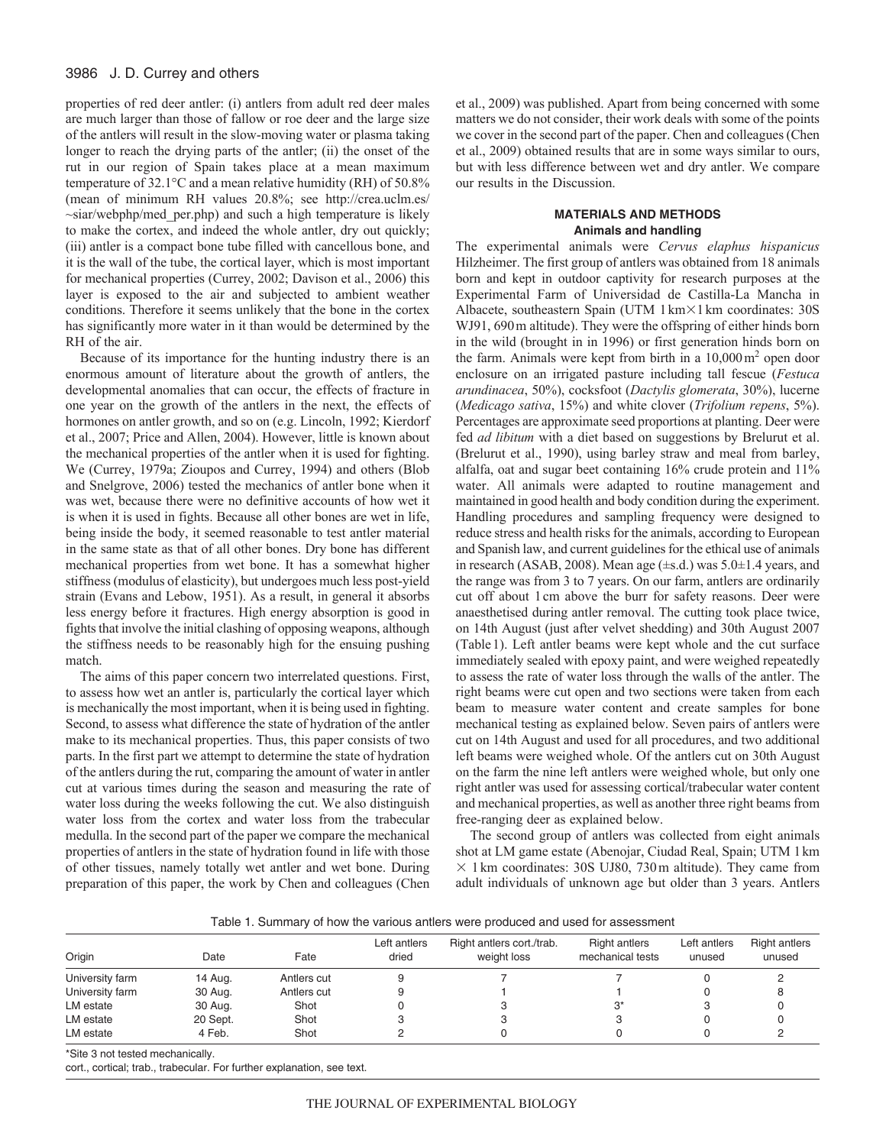properties of red deer antler: (i) antlers from adult red deer males are much larger than those of fallow or roe deer and the large size of the antlers will result in the slow-moving water or plasma taking longer to reach the drying parts of the antler; (ii) the onset of the rut in our region of Spain takes place at a mean maximum temperature of 32.1°C and a mean relative humidity (RH) of 50.8% (mean of minimum RH values 20.8%; see http://crea.uclm.es/ ~siar/webphp/med\_per.php) and such a high temperature is likely to make the cortex, and indeed the whole antler, dry out quickly; (iii) antler is a compact bone tube filled with cancellous bone, and it is the wall of the tube, the cortical layer, which is most important for mechanical properties (Currey, 2002; Davison et al., 2006) this layer is exposed to the air and subjected to ambient weather conditions. Therefore it seems unlikely that the bone in the cortex has significantly more water in it than would be determined by the RH of the air.

Because of its importance for the hunting industry there is an enormous amount of literature about the growth of antlers, the developmental anomalies that can occur, the effects of fracture in one year on the growth of the antlers in the next, the effects of hormones on antler growth, and so on (e.g. Lincoln, 1992; Kierdorf et al., 2007; Price and Allen, 2004). However, little is known about the mechanical properties of the antler when it is used for fighting. We (Currey, 1979a; Zioupos and Currey, 1994) and others (Blob and Snelgrove, 2006) tested the mechanics of antler bone when it was wet, because there were no definitive accounts of how wet it is when it is used in fights. Because all other bones are wet in life, being inside the body, it seemed reasonable to test antler material in the same state as that of all other bones. Dry bone has different mechanical properties from wet bone. It has a somewhat higher stiffness (modulus of elasticity), but undergoes much less post-yield strain (Evans and Lebow, 1951). As a result, in general it absorbs less energy before it fractures. High energy absorption is good in fights that involve the initial clashing of opposing weapons, although the stiffness needs to be reasonably high for the ensuing pushing match.

The aims of this paper concern two interrelated questions. First, to assess how wet an antler is, particularly the cortical layer which is mechanically the most important, when it is being used in fighting. Second, to assess what difference the state of hydration of the antler make to its mechanical properties. Thus, this paper consists of two parts. In the first part we attempt to determine the state of hydration of the antlers during the rut, comparing the amount of water in antler cut at various times during the season and measuring the rate of water loss during the weeks following the cut. We also distinguish water loss from the cortex and water loss from the trabecular medulla. In the second part of the paper we compare the mechanical properties of antlers in the state of hydration found in life with those of other tissues, namely totally wet antler and wet bone. During preparation of this paper, the work by Chen and colleagues (Chen

et al., 2009) was published. Apart from being concerned with some matters we do not consider, their work deals with some of the points we cover in the second part of the paper. Chen and colleagues (Chen et al., 2009) obtained results that are in some ways similar to ours, but with less difference between wet and dry antler. We compare our results in the Discussion.

## **MATERIALS AND METHODS Animals and handling**

The experimental animals were *Cervus elaphus hispanicus* Hilzheimer. The first group of antlers was obtained from 18 animals born and kept in outdoor captivity for research purposes at the Experimental Farm of Universidad de Castilla-La Mancha in Albacete, southeastern Spain (UTM 1 km×1 km coordinates: 30S WJ91, 690m altitude). They were the offspring of either hinds born in the wild (brought in in 1996) or first generation hinds born on the farm. Animals were kept from birth in a 10,000 m<sup>2</sup> open door enclosure on an irrigated pasture including tall fescue (*Festuca arundinacea*, 50%), cocksfoot (*Dactylis glomerata*, 30%), lucerne (*Medicago sativa*, 15%) and white clover (*Trifolium repens*, 5%). Percentages are approximate seed proportions at planting. Deer were fed *ad libitum* with a diet based on suggestions by Brelurut et al. (Brelurut et al., 1990), using barley straw and meal from barley, alfalfa, oat and sugar beet containing 16% crude protein and 11% water. All animals were adapted to routine management and maintained in good health and body condition during the experiment. Handling procedures and sampling frequency were designed to reduce stress and health risks for the animals, according to European and Spanish law, and current guidelines for the ethical use of animals in research (ASAB, 2008). Mean age  $(\pm s.d.)$  was 5.0 $\pm 1.4$  years, and the range was from 3 to 7 years. On our farm, antlers are ordinarily cut off about 1cm above the burr for safety reasons. Deer were anaesthetised during antler removal. The cutting took place twice, on 14th August (just after velvet shedding) and 30th August 2007 (Table1). Left antler beams were kept whole and the cut surface immediately sealed with epoxy paint, and were weighed repeatedly to assess the rate of water loss through the walls of the antler. The right beams were cut open and two sections were taken from each beam to measure water content and create samples for bone mechanical testing as explained below. Seven pairs of antlers were cut on 14th August and used for all procedures, and two additional left beams were weighed whole. Of the antlers cut on 30th August on the farm the nine left antlers were weighed whole, but only one right antler was used for assessing cortical/trabecular water content and mechanical properties, as well as another three right beams from free-ranging deer as explained below.

The second group of antlers was collected from eight animals shot at LM game estate (Abenojar, Ciudad Real, Spain; UTM 1km  $\times$  1 km coordinates: 30S UJ80, 730 m altitude). They came from adult individuals of unknown age but older than 3 years. Antlers

Table 1. Summary of how the various antlers were produced and used for assessment

| Origin          | Date     | Fate        | Left antlers<br>dried | Right antlers cort./trab.<br>weight loss | <b>Right antlers</b><br>mechanical tests | Left antlers<br>unused | <b>Right antlers</b><br>unused |
|-----------------|----------|-------------|-----------------------|------------------------------------------|------------------------------------------|------------------------|--------------------------------|
| University farm | 14 Aug.  | Antlers cut |                       |                                          |                                          |                        |                                |
| University farm | 30 Aug.  | Antlers cut |                       |                                          |                                          |                        |                                |
| LM estate       | 30 Aug.  | Shot        |                       |                                          | $3^*$                                    | c                      |                                |
| LM estate       | 20 Sept. | Shot        |                       |                                          |                                          |                        |                                |
| LM estate       | 4 Feb.   | Shot        |                       |                                          |                                          |                        |                                |

\*Site 3 not tested mechanically.

cort., cortical; trab., trabecular. For further explanation, see text.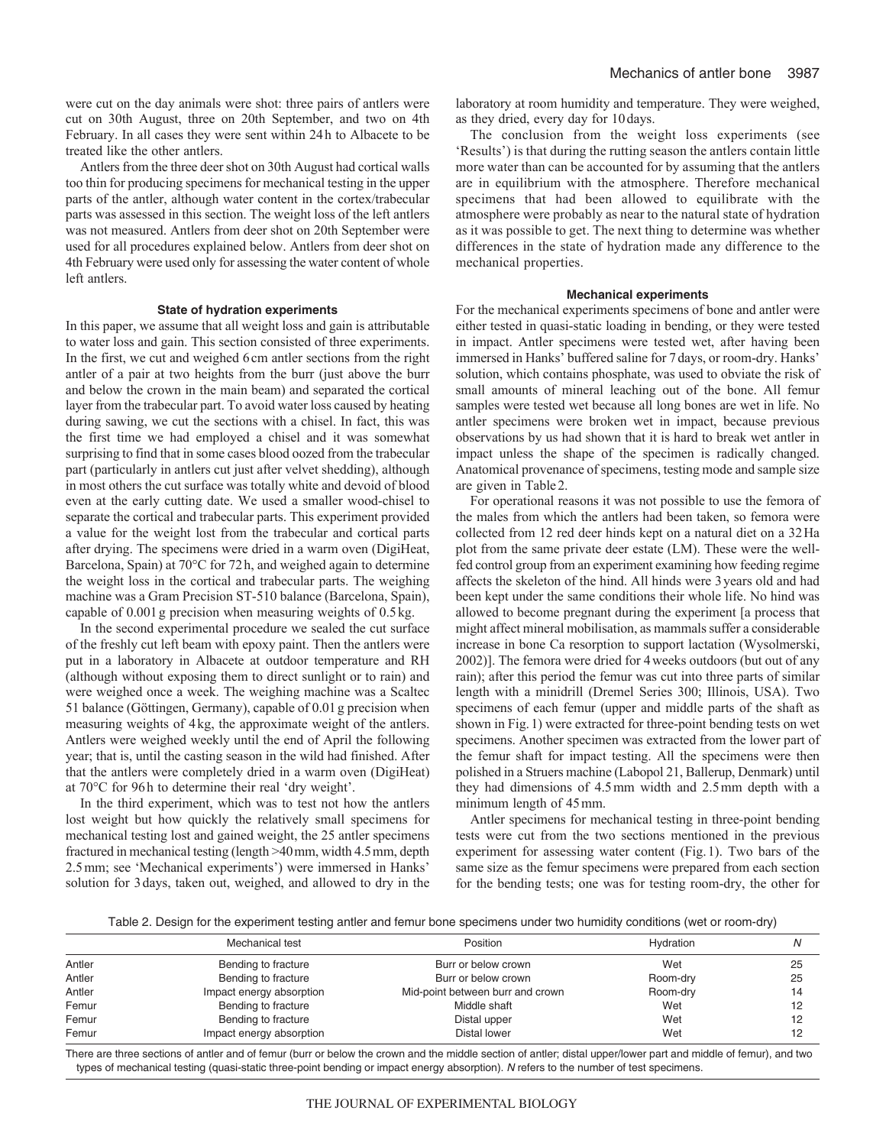were cut on the day animals were shot: three pairs of antlers were cut on 30th August, three on 20th September, and two on 4th February. In all cases they were sent within 24h to Albacete to be treated like the other antlers.

Antlers from the three deer shot on 30th August had cortical walls too thin for producing specimens for mechanical testing in the upper parts of the antler, although water content in the cortex/trabecular parts was assessed in this section. The weight loss of the left antlers was not measured. Antlers from deer shot on 20th September were used for all procedures explained below. Antlers from deer shot on 4th February were used only for assessing the water content of whole left antlers.

## **State of hydration experiments**

In this paper, we assume that all weight loss and gain is attributable to water loss and gain. This section consisted of three experiments. In the first, we cut and weighed 6cm antler sections from the right antler of a pair at two heights from the burr (just above the burr and below the crown in the main beam) and separated the cortical layer from the trabecular part. To avoid water loss caused by heating during sawing, we cut the sections with a chisel. In fact, this was the first time we had employed a chisel and it was somewhat surprising to find that in some cases blood oozed from the trabecular part (particularly in antlers cut just after velvet shedding), although in most others the cut surface was totally white and devoid of blood even at the early cutting date. We used a smaller wood-chisel to separate the cortical and trabecular parts. This experiment provided a value for the weight lost from the trabecular and cortical parts after drying. The specimens were dried in a warm oven (DigiHeat, Barcelona, Spain) at 70°C for 72 h, and weighed again to determine the weight loss in the cortical and trabecular parts. The weighing machine was a Gram Precision ST-510 balance (Barcelona, Spain), capable of 0.001g precision when measuring weights of 0.5kg.

In the second experimental procedure we sealed the cut surface of the freshly cut left beam with epoxy paint. Then the antlers were put in a laboratory in Albacete at outdoor temperature and RH (although without exposing them to direct sunlight or to rain) and were weighed once a week. The weighing machine was a Scaltec 51 balance (Göttingen, Germany), capable of 0.01g precision when measuring weights of 4kg, the approximate weight of the antlers. Antlers were weighed weekly until the end of April the following year; that is, until the casting season in the wild had finished. After that the antlers were completely dried in a warm oven (DigiHeat) at 70°C for 96h to determine their real 'dry weight'.

In the third experiment, which was to test not how the antlers lost weight but how quickly the relatively small specimens for mechanical testing lost and gained weight, the 25 antler specimens fractured in mechanical testing (length >40mm, width 4.5mm, depth 2.5mm; see 'Mechanical experiments') were immersed in Hanks' solution for 3days, taken out, weighed, and allowed to dry in the laboratory at room humidity and temperature. They were weighed, as they dried, every day for 10days.

The conclusion from the weight loss experiments (see 'Results') is that during the rutting season the antlers contain little more water than can be accounted for by assuming that the antlers are in equilibrium with the atmosphere. Therefore mechanical specimens that had been allowed to equilibrate with the atmosphere were probably as near to the natural state of hydration as it was possible to get. The next thing to determine was whether differences in the state of hydration made any difference to the mechanical properties.

#### **Mechanical experiments**

For the mechanical experiments specimens of bone and antler were either tested in quasi-static loading in bending, or they were tested in impact. Antler specimens were tested wet, after having been immersed in Hanks' buffered saline for 7days, or room-dry. Hanks' solution, which contains phosphate, was used to obviate the risk of small amounts of mineral leaching out of the bone. All femur samples were tested wet because all long bones are wet in life. No antler specimens were broken wet in impact, because previous observations by us had shown that it is hard to break wet antler in impact unless the shape of the specimen is radically changed. Anatomical provenance of specimens, testing mode and sample size are given in Table2.

For operational reasons it was not possible to use the femora of the males from which the antlers had been taken, so femora were collected from 12 red deer hinds kept on a natural diet on a 32Ha plot from the same private deer estate (LM). These were the wellfed control group from an experiment examining how feeding regime affects the skeleton of the hind. All hinds were 3years old and had been kept under the same conditions their whole life. No hind was allowed to become pregnant during the experiment [a process that might affect mineral mobilisation, as mammals suffer a considerable increase in bone Ca resorption to support lactation (Wysolmerski, 2002)]. The femora were dried for 4weeks outdoors (but out of any rain); after this period the femur was cut into three parts of similar length with a minidrill (Dremel Series 300; Illinois, USA). Two specimens of each femur (upper and middle parts of the shaft as shown in Fig.1) were extracted for three-point bending tests on wet specimens. Another specimen was extracted from the lower part of the femur shaft for impact testing. All the specimens were then polished in a Struers machine (Labopol 21, Ballerup, Denmark) until they had dimensions of 4.5mm width and 2.5mm depth with a minimum length of 45mm.

Antler specimens for mechanical testing in three-point bending tests were cut from the two sections mentioned in the previous experiment for assessing water content (Fig.1). Two bars of the same size as the femur specimens were prepared from each section for the bending tests; one was for testing room-dry, the other for

Table 2. Design for the experiment testing antler and femur bone specimens under two humidity conditions (wet or room-dry)

|        | Mechanical test          | Position                         | Hydration |    |
|--------|--------------------------|----------------------------------|-----------|----|
| Antler | Bending to fracture      | Burr or below crown              | Wet       | 25 |
| Antler | Bending to fracture      | Burr or below crown              | Room-dry  | 25 |
| Antler | Impact energy absorption | Mid-point between burr and crown | Room-dry  | 14 |
| Femur  | Bending to fracture      | Middle shaft                     | Wet       | 12 |
| Femur  | Bending to fracture      | Distal upper                     | Wet       | 12 |
| Femur  | Impact energy absorption | Distal lower                     | Wet       | 12 |

There are three sections of antler and of femur (burr or below the crown and the middle section of antler; distal upper/lower part and middle of femur), and two types of mechanical testing (quasi-static three-point bending or impact energy absorption). N refers to the number of test specimens.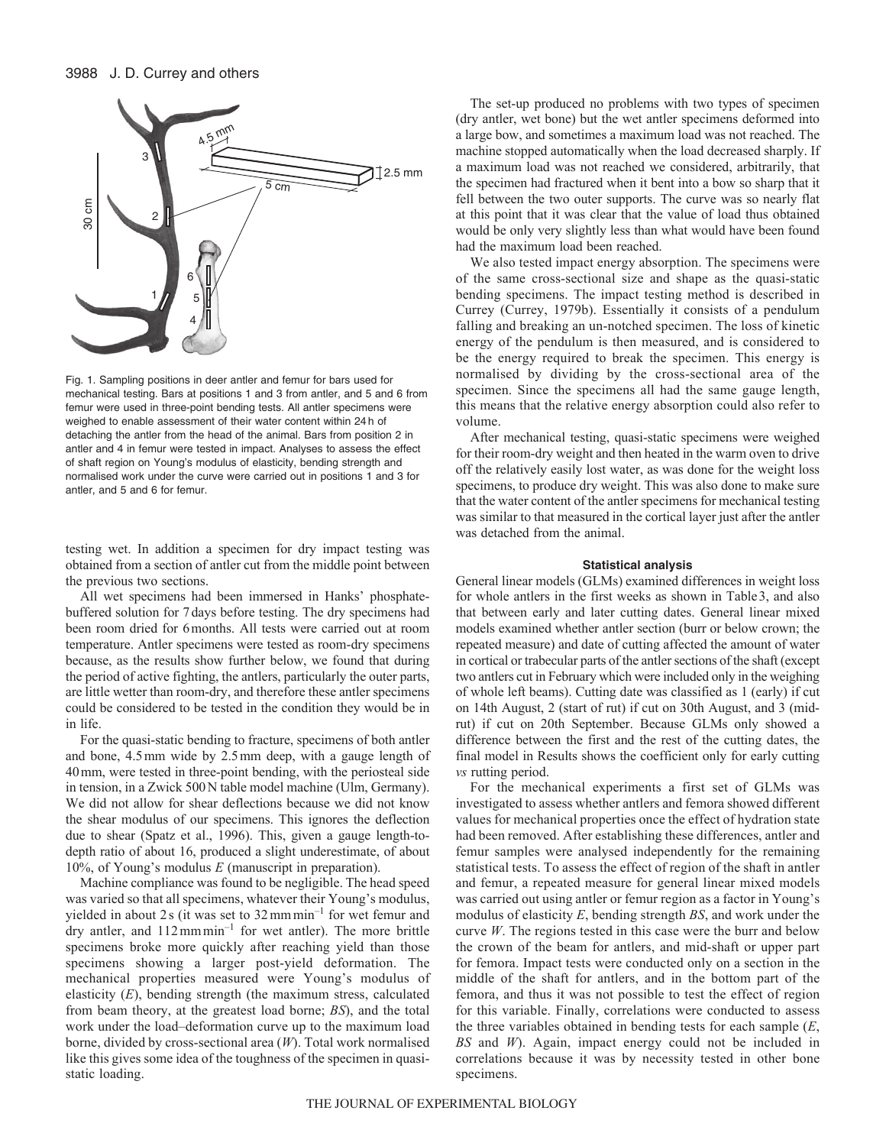

Fig. 1. Sampling positions in deer antler and femur for bars used for mechanical testing. Bars at positions 1 and 3 from antler, and 5 and 6 from femur were used in three-point bending tests. All antler specimens were weighed to enable assessment of their water content within 24 h of detaching the antler from the head of the animal. Bars from position 2 in antler and 4 in femur were tested in impact. Analyses to assess the effect of shaft region on Young's modulus of elasticity, bending strength and normalised work under the curve were carried out in positions 1 and 3 for antler, and 5 and 6 for femur.

testing wet. In addition a specimen for dry impact testing was obtained from a section of antler cut from the middle point between the previous two sections.

All wet specimens had been immersed in Hanks' phosphatebuffered solution for 7days before testing. The dry specimens had been room dried for 6months. All tests were carried out at room temperature. Antler specimens were tested as room-dry specimens because, as the results show further below, we found that during the period of active fighting, the antlers, particularly the outer parts, are little wetter than room-dry, and therefore these antler specimens could be considered to be tested in the condition they would be in in life.

For the quasi-static bending to fracture, specimens of both antler and bone, 4.5mm wide by 2.5mm deep, with a gauge length of 40mm, were tested in three-point bending, with the periosteal side in tension, in a Zwick 500N table model machine (Ulm, Germany). We did not allow for shear deflections because we did not know the shear modulus of our specimens. This ignores the deflection due to shear (Spatz et al., 1996). This, given a gauge length-todepth ratio of about 16, produced a slight underestimate, of about 10%, of Young's modulus *E* (manuscript in preparation).

Machine compliance was found to be negligible. The head speed was varied so that all specimens, whatever their Young's modulus, yielded in about 2 s (it was set to  $32 \text{ mm min}^{-1}$  for wet femur and dry antler, and  $112$  mm $min^{-1}$  for wet antler). The more brittle specimens broke more quickly after reaching yield than those specimens showing a larger post-yield deformation. The mechanical properties measured were Young's modulus of elasticity (*E*), bending strength (the maximum stress, calculated from beam theory, at the greatest load borne; *BS*), and the total work under the load–deformation curve up to the maximum load borne, divided by cross-sectional area (*W*). Total work normalised like this gives some idea of the toughness of the specimen in quasistatic loading.

The set-up produced no problems with two types of specimen (dry antler, wet bone) but the wet antler specimens deformed into a large bow, and sometimes a maximum load was not reached. The machine stopped automatically when the load decreased sharply. If a maximum load was not reached we considered, arbitrarily, that the specimen had fractured when it bent into a bow so sharp that it fell between the two outer supports. The curve was so nearly flat at this point that it was clear that the value of load thus obtained would be only very slightly less than what would have been found had the maximum load been reached.

We also tested impact energy absorption. The specimens were of the same cross-sectional size and shape as the quasi-static bending specimens. The impact testing method is described in Currey (Currey, 1979b). Essentially it consists of a pendulum falling and breaking an un-notched specimen. The loss of kinetic energy of the pendulum is then measured, and is considered to be the energy required to break the specimen. This energy is normalised by dividing by the cross-sectional area of the specimen. Since the specimens all had the same gauge length, this means that the relative energy absorption could also refer to volume.

After mechanical testing, quasi-static specimens were weighed for their room-dry weight and then heated in the warm oven to drive off the relatively easily lost water, as was done for the weight loss specimens, to produce dry weight. This was also done to make sure that the water content of the antler specimens for mechanical testing was similar to that measured in the cortical layer just after the antler was detached from the animal.

### **Statistical analysis**

General linear models (GLMs) examined differences in weight loss for whole antlers in the first weeks as shown in Table3, and also that between early and later cutting dates. General linear mixed models examined whether antler section (burr or below crown; the repeated measure) and date of cutting affected the amount of water in cortical or trabecular parts of the antler sections of the shaft (except two antlers cut in February which were included only in the weighing of whole left beams). Cutting date was classified as 1 (early) if cut on 14th August, 2 (start of rut) if cut on 30th August, and 3 (midrut) if cut on 20th September. Because GLMs only showed a difference between the first and the rest of the cutting dates, the final model in Results shows the coefficient only for early cutting *vs* rutting period.

For the mechanical experiments a first set of GLMs was investigated to assess whether antlers and femora showed different values for mechanical properties once the effect of hydration state had been removed. After establishing these differences, antler and femur samples were analysed independently for the remaining statistical tests. To assess the effect of region of the shaft in antler and femur, a repeated measure for general linear mixed models was carried out using antler or femur region as a factor in Young's modulus of elasticity *E*, bending strength *BS*, and work under the curve *W*. The regions tested in this case were the burr and below the crown of the beam for antlers, and mid-shaft or upper part for femora. Impact tests were conducted only on a section in the middle of the shaft for antlers, and in the bottom part of the femora, and thus it was not possible to test the effect of region for this variable. Finally, correlations were conducted to assess the three variables obtained in bending tests for each sample (*E*, *BS* and *W*). Again, impact energy could not be included in correlations because it was by necessity tested in other bone specimens.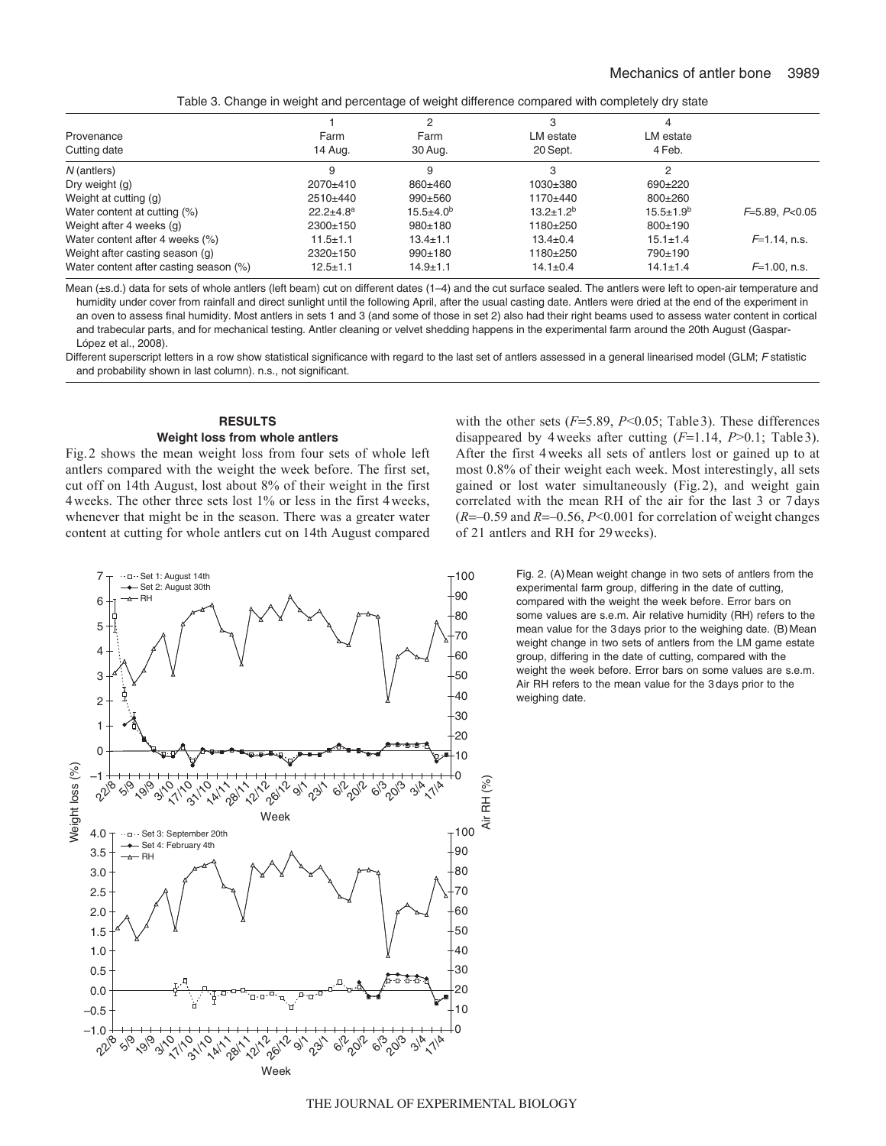Table 3. Change in weight and percentage of weight difference compared with completely dry state

|                                        |                | 2                | 3                | 4                |                  |
|----------------------------------------|----------------|------------------|------------------|------------------|------------------|
| Provenance                             | Farm           | Farm             | LM estate        | LM estate        |                  |
| Cutting date                           | 14 Aug.        | 30 Aug.          | 20 Sept.         | 4 Feb.           |                  |
| $N$ (antlers)                          | 9              | 9                | 3                | 2                |                  |
| Dry weight (g)                         | 2070±410       | 860±460          | 1030±380         | 690±220          |                  |
| Weight at cutting (g)                  | 2510±440       | $990+560$        | 1170±440         | $800+260$        |                  |
| Water content at cutting (%)           | $22.2 + 4.8^a$ | $15.5 \pm 4.0^b$ | $13.2 \pm 1.2^b$ | $15.5 \pm 1.9^b$ | $F=5.89, P<0.05$ |
| Weight after 4 weeks (g)               | 2300±150       | 980±180          | 1180±250         | $800+190$        |                  |
| Water content after 4 weeks (%)        | $11.5 \pm 1.1$ | $13.4 \pm 1.1$   | $13.4 \pm 0.4$   | $15.1 \pm 1.4$   | $F=1.14$ , n.s.  |
| Weight after casting season (g)        | $2320 \pm 150$ | 990±180          | 1180±250         | 790±190          |                  |
| Water content after casting season (%) | $12.5 + 1.1$   | $14.9 + 1.1$     | $14.1 \pm 0.4$   | $14.1 \pm 1.4$   | $F=1.00$ , n.s.  |

Mean (±s.d.) data for sets of whole antlers (left beam) cut on different dates (1-4) and the cut surface sealed. The antlers were left to open-air temperature and humidity under cover from rainfall and direct sunlight until the following April, after the usual casting date. Antlers were dried at the end of the experiment in an oven to assess final humidity. Most antlers in sets 1 and 3 (and some of those in set 2) also had their right beams used to assess water content in cortical and trabecular parts, and for mechanical testing. Antler cleaning or velvet shedding happens in the experimental farm around the 20th August (Gaspar-López et al., 2008).

Different superscript letters in a row show statistical significance with regard to the last set of antlers assessed in a general linearised model (GLM; F statistic and probability shown in last column). n.s., not significant.

## **RESULTS Weight loss from whole antlers**

Fig.2 shows the mean weight loss from four sets of whole left antlers compared with the weight the week before. The first set, cut off on 14th August, lost about 8% of their weight in the first 4weeks. The other three sets lost 1% or less in the first 4weeks, whenever that might be in the season. There was a greater water content at cutting for whole antlers cut on 14th August compared with the other sets (*F*=5.89, *P*<0.05; Table 3). These differences disappeared by 4 weeks after cutting  $(F=1.14, P>0.1;$  Table 3). After the first 4weeks all sets of antlers lost or gained up to at most 0.8% of their weight each week. Most interestingly, all sets gained or lost water simultaneously (Fig. 2), and weight gain correlated with the mean RH of the air for the last 3 or 7days (*R*–0.59 and *R*–0.56, *P*<0.001 for correlation of weight changes of 21 antlers and RH for 29weeks).



Fig. 2. (A) Mean weight change in two sets of antlers from the experimental farm group, differing in the date of cutting, compared with the weight the week before. Error bars on some values are s.e.m. Air relative humidity (RH) refers to the mean value for the 3 days prior to the weighing date. (B) Mean weight change in two sets of antlers from the LM game estate group, differing in the date of cutting, compared with the weight the week before. Error bars on some values are s.e.m. Air RH refers to the mean value for the 3 days prior to the weighing date.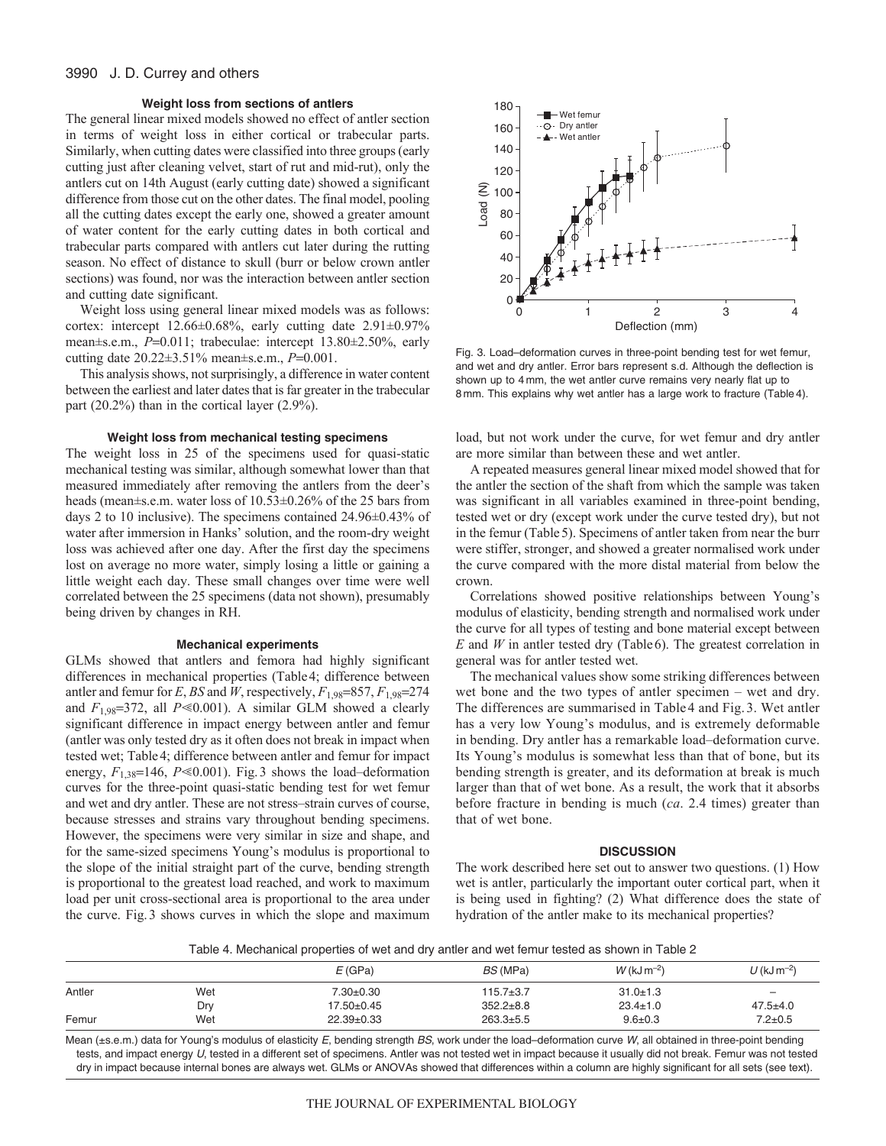## **Weight loss from sections of antlers**

The general linear mixed models showed no effect of antler section in terms of weight loss in either cortical or trabecular parts. Similarly, when cutting dates were classified into three groups (early cutting just after cleaning velvet, start of rut and mid-rut), only the antlers cut on 14th August (early cutting date) showed a significant difference from those cut on the other dates. The final model, pooling all the cutting dates except the early one, showed a greater amount of water content for the early cutting dates in both cortical and trabecular parts compared with antlers cut later during the rutting season. No effect of distance to skull (burr or below crown antler sections) was found, nor was the interaction between antler section and cutting date significant.

Weight loss using general linear mixed models was as follows: cortex: intercept 12.66±0.68%, early cutting date 2.91±0.97% mean±s.e.m., *P*=0.011; trabeculae: intercept 13.80±2.50%, early cutting date  $20.22 \pm 3.51\%$  mean $\pm$ s.e.m.,  $P=0.001$ .

This analysis shows, not surprisingly, a difference in water content between the earliest and later dates that is far greater in the trabecular part (20.2%) than in the cortical layer (2.9%).

#### **Weight loss from mechanical testing specimens**

The weight loss in 25 of the specimens used for quasi-static mechanical testing was similar, although somewhat lower than that measured immediately after removing the antlers from the deer's heads (mean±s.e.m. water loss of 10.53±0.26% of the 25 bars from days 2 to 10 inclusive). The specimens contained 24.96±0.43% of water after immersion in Hanks' solution, and the room-dry weight loss was achieved after one day. After the first day the specimens lost on average no more water, simply losing a little or gaining a little weight each day. These small changes over time were well correlated between the 25 specimens (data not shown), presumably being driven by changes in RH.

#### **Mechanical experiments**

GLMs showed that antlers and femora had highly significant differences in mechanical properties (Table4; difference between antler and femur for *E*, *BS* and *W*, respectively,  $F_{1,98}$ =857,  $F_{1,98}$ =274 and  $F_{1.98}$ =372, all  $P \le 0.001$ ). A similar GLM showed a clearly significant difference in impact energy between antler and femur (antler was only tested dry as it often does not break in impact when tested wet; Table4; difference between antler and femur for impact energy,  $F_{1,38}=146$ ,  $P \le 0.001$ ). Fig. 3 shows the load-deformation curves for the three-point quasi-static bending test for wet femur and wet and dry antler. These are not stress–strain curves of course, because stresses and strains vary throughout bending specimens. However, the specimens were very similar in size and shape, and for the same-sized specimens Young's modulus is proportional to the slope of the initial straight part of the curve, bending strength is proportional to the greatest load reached, and work to maximum load per unit cross-sectional area is proportional to the area under the curve. Fig.3 shows curves in which the slope and maximum



Fig. 3. Load–deformation curves in three-point bending test for wet femur, and wet and dry antler. Error bars represent s.d. Although the deflection is shown up to 4 mm, the wet antler curve remains very nearly flat up to 8 mm. This explains why wet antler has a large work to fracture (Table 4).

load, but not work under the curve, for wet femur and dry antler are more similar than between these and wet antler.

A repeated measures general linear mixed model showed that for the antler the section of the shaft from which the sample was taken was significant in all variables examined in three-point bending, tested wet or dry (except work under the curve tested dry), but not in the femur (Table5). Specimens of antler taken from near the burr were stiffer, stronger, and showed a greater normalised work under the curve compared with the more distal material from below the crown.

Correlations showed positive relationships between Young's modulus of elasticity, bending strength and normalised work under the curve for all types of testing and bone material except between *E* and *W* in antler tested dry (Table6). The greatest correlation in general was for antler tested wet.

The mechanical values show some striking differences between wet bone and the two types of antler specimen – wet and dry. The differences are summarised in Table 4 and Fig. 3. Wet antler has a very low Young's modulus, and is extremely deformable in bending. Dry antler has a remarkable load–deformation curve. Its Young's modulus is somewhat less than that of bone, but its bending strength is greater, and its deformation at break is much larger than that of wet bone. As a result, the work that it absorbs before fracture in bending is much (*ca*. 2.4 times) greater than that of wet bone.

#### **DISCUSSION**

The work described here set out to answer two questions. (1) How wet is antler, particularly the important outer cortical part, when it is being used in fighting? (2) What difference does the state of hydration of the antler make to its mechanical properties?

Table 4. Mechanical properties of wet and dry antler and wet femur tested as shown in Table 2

|        |     | E(GPa)           | BS (MPa)        | $W$ (kJ m <sup>-2</sup> ) | U (kJ m <sup>-2</sup> ) |
|--------|-----|------------------|-----------------|---------------------------|-------------------------|
| Antler | Wet | $7.30 \pm 0.30$  | $115.7 \pm 3.7$ | $31.0 \pm 1.3$            | $\qquad \qquad -$       |
|        | Dry | $17.50 \pm 0.45$ | $352.2 \pm 8.8$ | $23.4 \pm 1.0$            | $47.5 \pm 4.0$          |
| Femur  | Wet | $22.39 \pm 0.33$ | $263.3 + 5.5$   | $9.6 \pm 0.3$             | $7.2 \pm 0.5$           |
|        |     |                  |                 |                           |                         |

Mean (±s.e.m.) data for Young's modulus of elasticity E, bending strength BS, work under the load-deformation curve W, all obtained in three-point bending tests, and impact energy U, tested in a different set of specimens. Antler was not tested wet in impact because it usually did not break. Femur was not tested dry in impact because internal bones are always wet. GLMs or ANOVAs showed that differences within a column are highly significant for all sets (see text).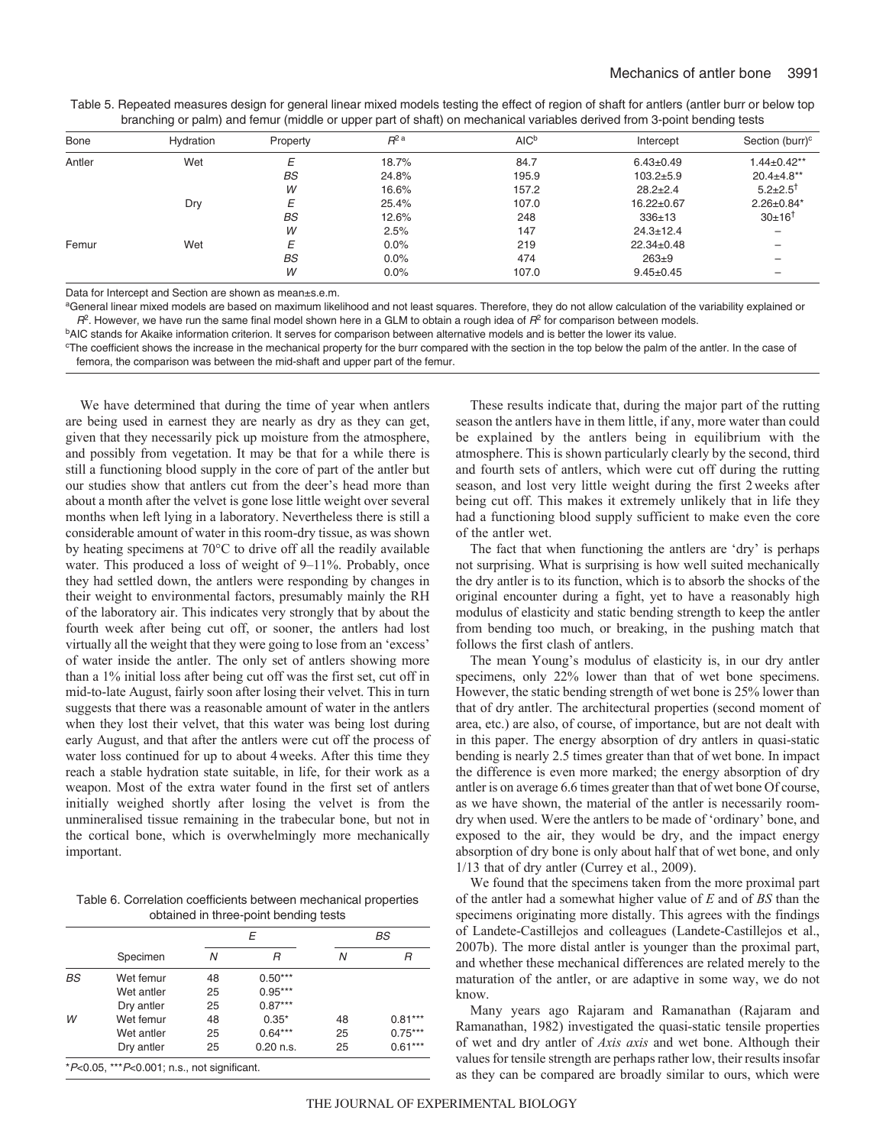Table 5. Repeated measures design for general linear mixed models testing the effect of region of shaft for antlers (antler burr or below top branching or palm) and femur (middle or upper part of shaft) on mechanical variables derived from 3-point bending tests

| Bone   | Hydration | Property  | $R^2$ a | AIC <sup>b</sup> | Intercept        | Section (burr) <sup>c</sup> |
|--------|-----------|-----------|---------|------------------|------------------|-----------------------------|
| Antler | Wet       | E         | 18.7%   | 84.7             | $6.43 \pm 0.49$  | $1.44 \pm 0.42**$           |
|        |           | <b>BS</b> | 24.8%   | 195.9            | $103.2 + 5.9$    | $20.4 \pm 4.8$ **           |
|        |           | W         | 16.6%   | 157.2            | $28.2 \pm 2.4$   | $5.2 \pm 2.5$ <sup>†</sup>  |
|        | Dry       | E         | 25.4%   | 107.0            | $16.22 \pm 0.67$ | $2.26 \pm 0.84*$            |
|        |           | <b>BS</b> | 12.6%   | 248              | $336 \pm 13$     | $30+16$ <sup>†</sup>        |
|        |           | W         | 2.5%    | 147              | $24.3 \pm 12.4$  | $\overline{\phantom{0}}$    |
| Femur  | Wet       | E         | 0.0%    | 219              | $22.34 \pm 0.48$ |                             |
|        |           | <b>BS</b> | 0.0%    | 474              | $263 + 9$        |                             |
|        |           | W         | 0.0%    | 107.0            | $9.45 \pm 0.45$  |                             |

Data for Intercept and Section are shown as mean±s.e.m.

aGeneral linear mixed models are based on maximum likelihood and not least squares. Therefore, they do not allow calculation of the variability explained or  $R^2$ . However, we have run the same final model shown here in a GLM to obtain a rough idea of  $R^2$  for comparison between models.

bAIC stands for Akaike information criterion. It serves for comparison between alternative models and is better the lower its value.

<sup>c</sup>The coefficient shows the increase in the mechanical property for the burr compared with the section in the top below the palm of the antler. In the case of femora, the comparison was between the mid-shaft and upper part of the femur.

We have determined that during the time of year when antlers are being used in earnest they are nearly as dry as they can get, given that they necessarily pick up moisture from the atmosphere, and possibly from vegetation. It may be that for a while there is still a functioning blood supply in the core of part of the antler but our studies show that antlers cut from the deer's head more than about a month after the velvet is gone lose little weight over several months when left lying in a laboratory. Nevertheless there is still a considerable amount of water in this room-dry tissue, as was shown by heating specimens at 70°C to drive off all the readily available water. This produced a loss of weight of 9–11%. Probably, once they had settled down, the antlers were responding by changes in their weight to environmental factors, presumably mainly the RH of the laboratory air. This indicates very strongly that by about the fourth week after being cut off, or sooner, the antlers had lost virtually all the weight that they were going to lose from an 'excess' of water inside the antler. The only set of antlers showing more than a 1% initial loss after being cut off was the first set, cut off in mid-to-late August, fairly soon after losing their velvet. This in turn suggests that there was a reasonable amount of water in the antlers when they lost their velvet, that this water was being lost during early August, and that after the antlers were cut off the process of water loss continued for up to about 4weeks. After this time they reach a stable hydration state suitable, in life, for their work as a weapon. Most of the extra water found in the first set of antlers initially weighed shortly after losing the velvet is from the unmineralised tissue remaining in the trabecular bone, but not in the cortical bone, which is overwhelmingly more mechanically important.

Table 6. Correlation coefficients between mechanical properties obtained in three-point bending tests

|           | Specimen   |    | Е           | BS |           |
|-----------|------------|----|-------------|----|-----------|
|           |            | Ν  | R           | N  | R         |
| <b>BS</b> | Wet femur  | 48 | $0.50***$   |    |           |
|           | Wet antler | 25 | $0.95***$   |    |           |
|           | Dry antler | 25 | $0.87***$   |    |           |
| W         | Wet femur  | 48 | $0.35*$     | 48 | $0.81***$ |
|           | Wet antler | 25 | $0.64***$   | 25 | $0.75***$ |
|           | Dry antler | 25 | $0.20$ n.s. | 25 | $0.61***$ |

P<0.05, \*\*\**P*<0.001; n.s., not significant.

These results indicate that, during the major part of the rutting season the antlers have in them little, if any, more water than could be explained by the antlers being in equilibrium with the atmosphere. This is shown particularly clearly by the second, third and fourth sets of antlers, which were cut off during the rutting season, and lost very little weight during the first 2weeks after being cut off. This makes it extremely unlikely that in life they had a functioning blood supply sufficient to make even the core of the antler wet.

The fact that when functioning the antlers are 'dry' is perhaps not surprising. What is surprising is how well suited mechanically the dry antler is to its function, which is to absorb the shocks of the original encounter during a fight, yet to have a reasonably high modulus of elasticity and static bending strength to keep the antler from bending too much, or breaking, in the pushing match that follows the first clash of antlers.

The mean Young's modulus of elasticity is, in our dry antler specimens, only 22% lower than that of wet bone specimens. However, the static bending strength of wet bone is 25% lower than that of dry antler. The architectural properties (second moment of area, etc.) are also, of course, of importance, but are not dealt with in this paper. The energy absorption of dry antlers in quasi-static bending is nearly 2.5 times greater than that of wet bone. In impact the difference is even more marked; the energy absorption of dry antler is on average 6.6 times greater than that of wet bone Of course, as we have shown, the material of the antler is necessarily roomdry when used. Were the antlers to be made of 'ordinary' bone, and exposed to the air, they would be dry, and the impact energy absorption of dry bone is only about half that of wet bone, and only 1/13 that of dry antler (Currey et al., 2009).

We found that the specimens taken from the more proximal part of the antler had a somewhat higher value of *E* and of *BS* than the specimens originating more distally. This agrees with the findings of Landete-Castillejos and colleagues (Landete-Castillejos et al., 2007b). The more distal antler is younger than the proximal part, and whether these mechanical differences are related merely to the maturation of the antler, or are adaptive in some way, we do not know.

Many years ago Rajaram and Ramanathan (Rajaram and Ramanathan, 1982) investigated the quasi-static tensile properties of wet and dry antler of *Axis axis* and wet bone. Although their values for tensile strength are perhaps rather low, their results insofar as they can be compared are broadly similar to ours, which were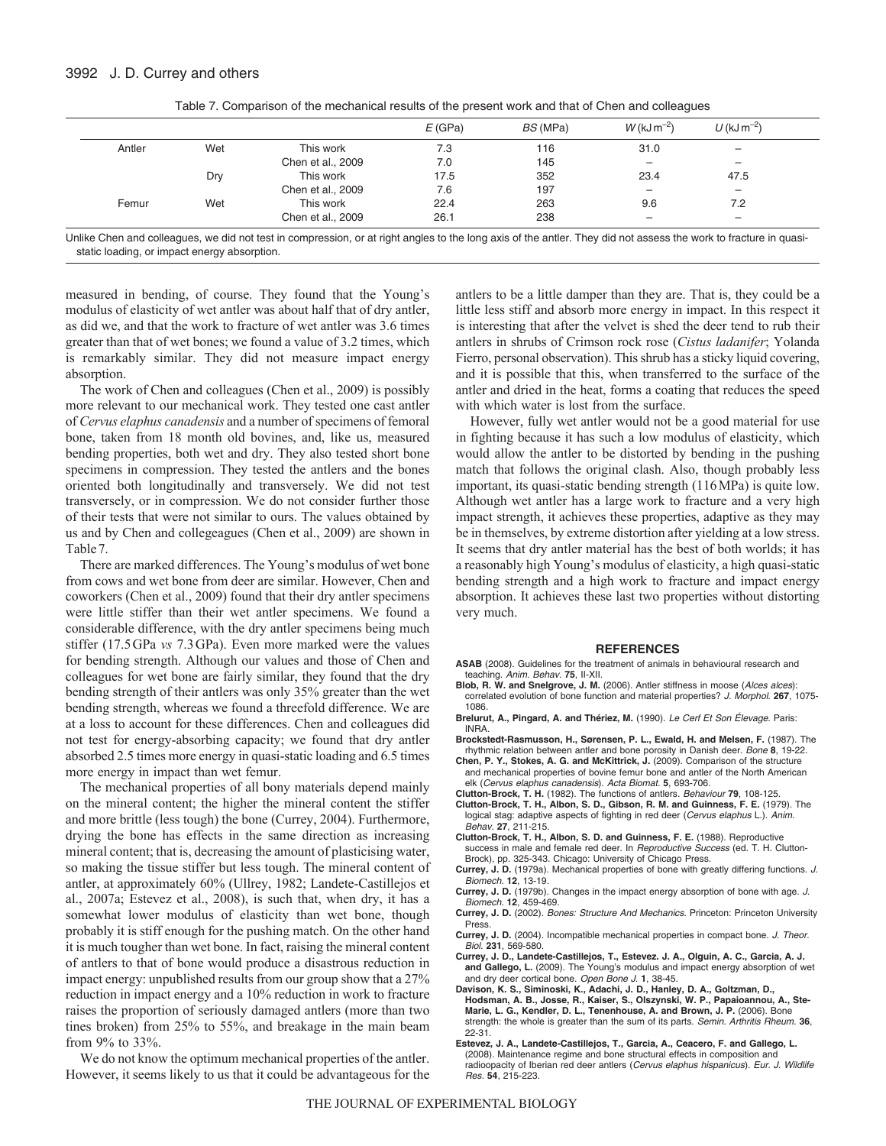|        |     |                   | E(GPa) | BS (MPa) | $W$ (kJ m <sup>-2</sup> ) | $U$ (kJ m <sup>-2</sup> ) |
|--------|-----|-------------------|--------|----------|---------------------------|---------------------------|
| Antler | Wet | This work         | 7.3    | 116      | 31.0                      |                           |
|        |     | Chen et al., 2009 | 7.0    | 145      | $\overline{\phantom{m}}$  |                           |
|        | Dry | This work         | 17.5   | 352      | 23.4                      | 47.5                      |
|        |     | Chen et al., 2009 | 7.6    | 197      |                           |                           |
| Femur  | Wet | This work         | 22.4   | 263      | 9.6                       | 7.2                       |
|        |     | Chen et al., 2009 | 26.1   | 238      | $\overline{\phantom{m}}$  | $\overline{\phantom{m}}$  |

Table 7. Comparison of the mechanical results of the present work and that of Chen and colleagues

Unlike Chen and colleagues, we did not test in compression, or at right angles to the long axis of the antler. They did not assess the work to fracture in quasistatic loading, or impact energy absorption.

measured in bending, of course. They found that the Young's modulus of elasticity of wet antler was about half that of dry antler, as did we, and that the work to fracture of wet antler was 3.6 times greater than that of wet bones; we found a value of 3.2 times, which is remarkably similar. They did not measure impact energy absorption.

The work of Chen and colleagues (Chen et al., 2009) is possibly more relevant to our mechanical work. They tested one cast antler of *Cervus elaphus canadensis* and a number of specimens of femoral bone, taken from 18 month old bovines, and, like us, measured bending properties, both wet and dry. They also tested short bone specimens in compression. They tested the antlers and the bones oriented both longitudinally and transversely. We did not test transversely, or in compression. We do not consider further those of their tests that were not similar to ours. The values obtained by us and by Chen and collegeagues (Chen et al., 2009) are shown in Table7.

There are marked differences. The Young's modulus of wet bone from cows and wet bone from deer are similar. However, Chen and coworkers (Chen et al., 2009) found that their dry antler specimens were little stiffer than their wet antler specimens. We found a considerable difference, with the dry antler specimens being much stiffer (17.5GPa *vs* 7.3GPa). Even more marked were the values for bending strength. Although our values and those of Chen and colleagues for wet bone are fairly similar, they found that the dry bending strength of their antlers was only 35% greater than the wet bending strength, whereas we found a threefold difference. We are at a loss to account for these differences. Chen and colleagues did not test for energy-absorbing capacity; we found that dry antler absorbed 2.5 times more energy in quasi-static loading and 6.5 times more energy in impact than wet femur.

The mechanical properties of all bony materials depend mainly on the mineral content; the higher the mineral content the stiffer and more brittle (less tough) the bone (Currey, 2004). Furthermore, drying the bone has effects in the same direction as increasing mineral content; that is, decreasing the amount of plasticising water, so making the tissue stiffer but less tough. The mineral content of antler, at approximately 60% (Ullrey, 1982; Landete-Castillejos et al., 2007a; Estevez et al., 2008), is such that, when dry, it has a somewhat lower modulus of elasticity than wet bone, though probably it is stiff enough for the pushing match. On the other hand it is much tougher than wet bone. In fact, raising the mineral content of antlers to that of bone would produce a disastrous reduction in impact energy: unpublished results from our group show that a 27% reduction in impact energy and a 10% reduction in work to fracture raises the proportion of seriously damaged antlers (more than two tines broken) from 25% to 55%, and breakage in the main beam from 9% to 33%.

We do not know the optimum mechanical properties of the antler. However, it seems likely to us that it could be advantageous for the antlers to be a little damper than they are. That is, they could be a little less stiff and absorb more energy in impact. In this respect it is interesting that after the velvet is shed the deer tend to rub their antlers in shrubs of Crimson rock rose (*Cistus ladanifer*; Yolanda Fierro, personal observation). This shrub has a sticky liquid covering, and it is possible that this, when transferred to the surface of the antler and dried in the heat, forms a coating that reduces the speed with which water is lost from the surface.

However, fully wet antler would not be a good material for use in fighting because it has such a low modulus of elasticity, which would allow the antler to be distorted by bending in the pushing match that follows the original clash. Also, though probably less important, its quasi-static bending strength (116MPa) is quite low. Although wet antler has a large work to fracture and a very high impact strength, it achieves these properties, adaptive as they may be in themselves, by extreme distortion after yielding at a low stress. It seems that dry antler material has the best of both worlds; it has a reasonably high Young's modulus of elasticity, a high quasi-static bending strength and a high work to fracture and impact energy absorption. It achieves these last two properties without distorting very much.

#### **REFERENCES**

- **ASAB** (2008). Guidelines for the treatment of animals in behavioural research and teaching. Anim. Behav. **75**, II-XII.
- Blob, R. W. and Snelgrove, J. M. (2006). Antler stiffness in moose (Alces alces): correlated evolution of bone function and material properties? J. Morphol. **267**, 1075- 1086.
- **Brelurut, A., Pingard, A. and Thériez, M.** (1990). Le Cerf Et Son Élevage. Paris: INRA.
- **Brockstedt-Rasmusson, H., Sørensen, P. L., Ewald, H. and Melsen, F.** (1987). The rhythmic relation between antler and bone porosity in Danish deer. Bone **8**, 19-22.
- **Chen, P. Y., Stokes, A. G. and McKittrick, J.** (2009). Comparison of the structure and mechanical properties of bovine femur bone and antler of the North American
- elk (Cervus elaphus canadensis). Acta Biomat. **5**, 693-706.
- **Clutton-Brock, T. H.** (1982). The functions of antlers. Behaviour **79**, 108-125.
- **Clutton-Brock, T. H., Albon, S. D., Gibson, R. M. and Guinness, F. E.** (1979). The logical stag: adaptive aspects of fighting in red deer (Cervus elaphus L.). Anim. Behav. **27**, 211-215.
- **Clutton-Brock, T. H., Albon, S. D. and Guinness, F. E.** (1988). Reproductive success in male and female red deer. In Reproductive Success (ed. T. H. Clutton-Brock), pp. 325-343. Chicago: University of Chicago Press.
- **Currey, J. D.** (1979a). Mechanical properties of bone with greatly differing functions. J. Biomech. **12**, 13-19.
- **Currey, J. D.** (1979b). Changes in the impact energy absorption of bone with age. J. Biomech. **12**, 459-469.
- **Currey, J. D.** (2002). Bones: Structure And Mechanics. Princeton: Princeton University **Press**
- **Currey, J. D.** (2004). Incompatible mechanical properties in compact bone. J. Theor. Biol. **231**, 569-580.
- **Currey, J. D., Landete-Castillejos, T., Estevez. J. A., Olguin, A. C., Garcia, A. J. and Gallego, L.** (2009). The Young's modulus and impact energy absorption of wet and dry deer cortical bone. Open Bone J. **1**, 38-45.
- **Davison, K. S., Siminoski, K., Adachi, J. D., Hanley, D. A., Goltzman, D., Hodsman, A. B., Josse, R., Kaiser, S., Olszynski, W. P., Papaioannou, A., Ste-Marie, L. G., Kendler, D. L., Tenenhouse, A. and Brown, J. P.** (2006). Bone strength: the whole is greater than the sum of its parts. Semin. Arthritis Rheum. **36**, 22-31.
- **Estevez, J. A., Landete-Castillejos, T., Garcia, A., Ceacero, F. and Gallego, L.** (2008). Maintenance regime and bone structural effects in composition and radioopacity of Iberian red deer antlers (Cervus elaphus hispanicus). Eur. J. Wildlife Res. **54**, 215-223.